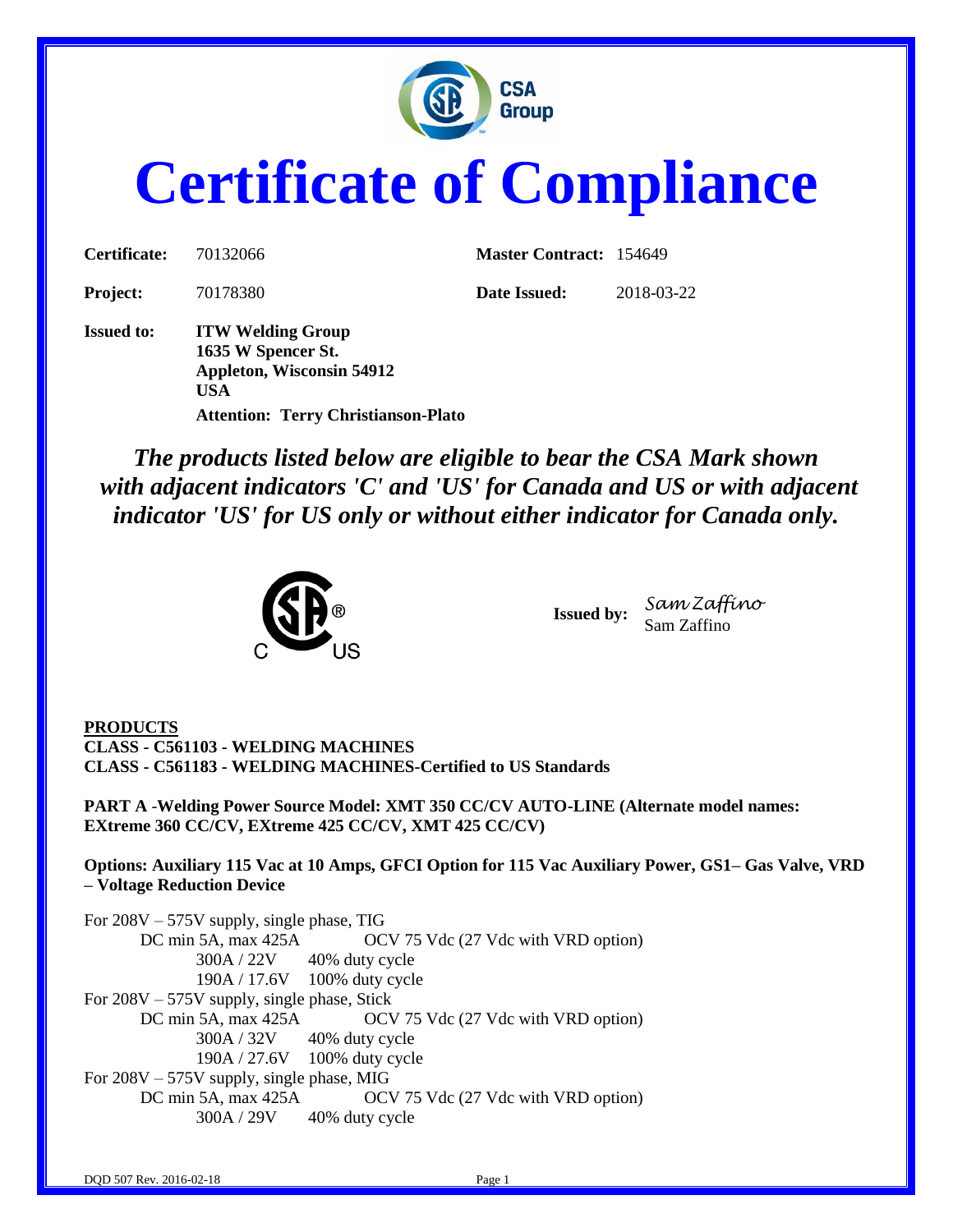

# **Certificate of Compliance**

| Certificate:      | 70132066                                                                                         | <b>Master Contract: 154649</b> |            |
|-------------------|--------------------------------------------------------------------------------------------------|--------------------------------|------------|
| <b>Project:</b>   | 70178380                                                                                         | Date Issued:                   | 2018-03-22 |
| <b>Issued to:</b> | <b>ITW Welding Group</b><br>1635 W Spencer St.<br><b>Appleton, Wisconsin 54912</b><br><b>USA</b> |                                |            |
|                   | <b>Attention: Terry Christianson-Plato</b>                                                       |                                |            |

*The products listed below are eligible to bear the CSA Mark shown with adjacent indicators 'C' and 'US' for Canada and US or with adjacent indicator 'US' for US only or without either indicator for Canada only.*



**Issued by:** *Sam Zaffino* Sam Zaffino

**PRODUCTS CLASS - C561103 - WELDING MACHINES CLASS - C561183 - WELDING MACHINES-Certified to US Standards**

**PART A** -**Welding Power Source Model: XMT 350 CC/CV AUTO-LINE (Alternate model names: EXtreme 360 CC/CV, EXtreme 425 CC/CV, XMT 425 CC/CV)**

**Options: Auxiliary 115 Vac at 10 Amps, GFCI Option for 115 Vac Auxiliary Power, GS1– Gas Valve, VRD – Voltage Reduction Device**

For 208V – 575V supply, single phase, TIG DC min 5A, max 425A OCV 75 Vdc (27 Vdc with VRD option) 300A / 22V 40% duty cycle 190A / 17.6V 100% duty cycle For 208V – 575V supply, single phase, Stick DC min 5A, max 425A OCV 75 Vdc (27 Vdc with VRD option) 300A / 32V 40% duty cycle 190A / 27.6V 100% duty cycle For 208V – 575V supply, single phase, MIG DC min 5A, max 425A OCV 75 Vdc (27 Vdc with VRD option) 300A / 29V 40% duty cycle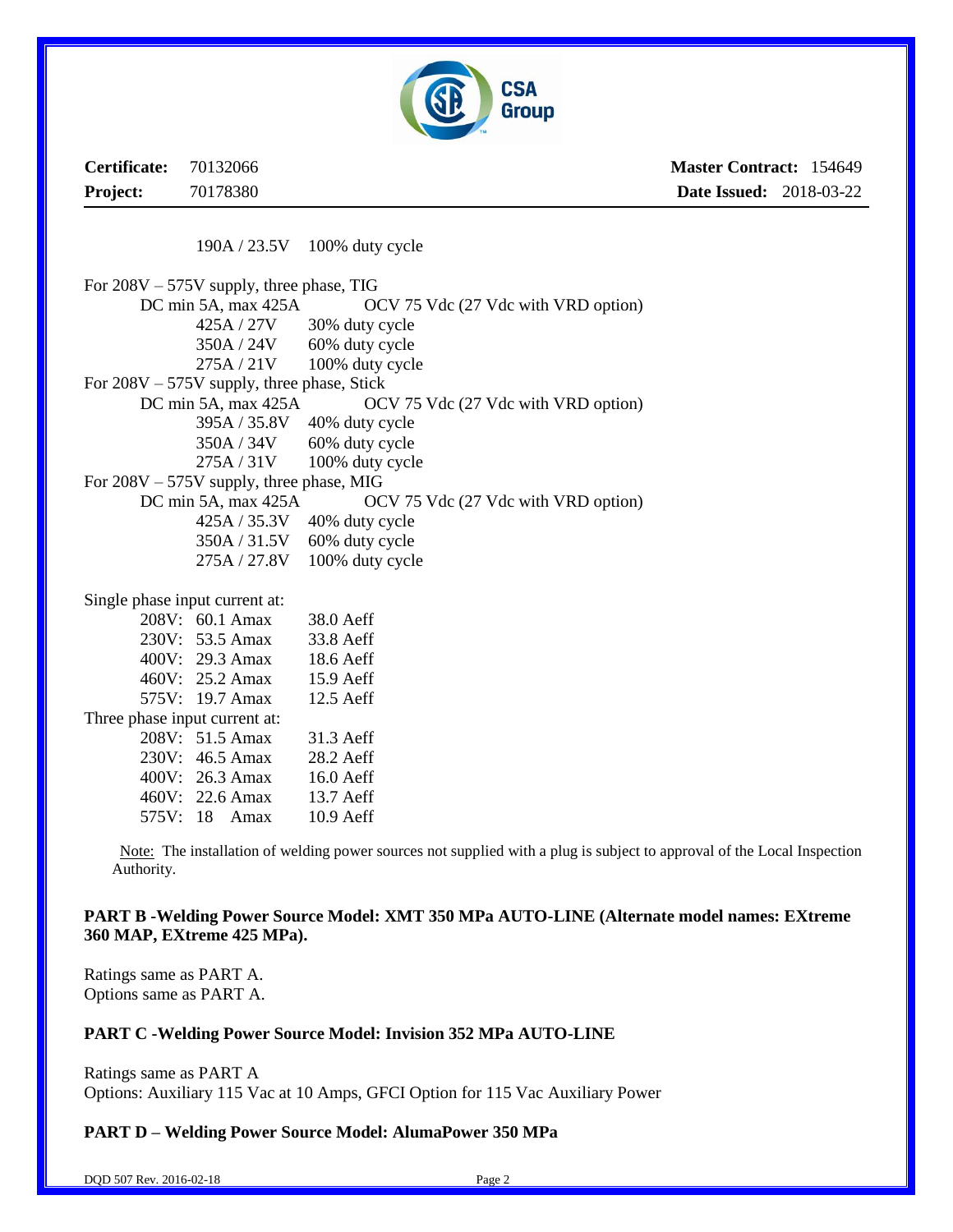

**Certificate:** 70132066 **Project:** 70178380 **Master Contract:** 154649 **Date Issued:** 2018-03-22

190A / 23.5V 100% duty cycle

For 208V – 575V supply, three phase, TIG DC min 5A, max 425A OCV 75 Vdc (27 Vdc with VRD option) 425A / 27V 30% duty cycle  $350A / 24V$  60% duty cycle 275A / 21V 100% duty cycle For 208V – 575V supply, three phase, Stick DC min 5A, max 425A OCV 75 Vdc (27 Vdc with VRD option) 395A / 35.8V 40% duty cycle 350A / 34V 60% duty cycle 275A / 31V 100% duty cycle For 208V – 575V supply, three phase, MIG DC min 5A, max 425A OCV 75 Vdc (27 Vdc with VRD option) 425A / 35.3V 40% duty cycle 350A / 31.5V 60% duty cycle 275A / 27.8V 100% duty cycle Single phase input current at: 208V: 60.1 Amax 38.0 Aeff 230V: 53.5 Amax 33.8 Aeff 400V: 29.3 Amax 18.6 Aeff 460V: 25.2 Amax 15.9 Aeff 575V: 19.7 Amax 12.5 Aeff Three phase input current at: 208V: 51.5 Amax 31.3 Aeff 230V: 46.5 Amax 28.2 Aeff 400V: 26.3 Amax 16.0 Aeff 460V: 22.6 Amax 13.7 Aeff 575V: 18 Amax 10.9 Aeff

 Note: The installation of welding power sources not supplied with a plug is subject to approval of the Local Inspection Authority.

#### **PART B -Welding Power Source Model: XMT 350 MPa AUTO-LINE (Alternate model names: EXtreme 360 MAP, EXtreme 425 MPa).**

Ratings same as PART A. Options same as PART A.

#### **PART C -Welding Power Source Model: Invision 352 MPa AUTO-LINE**

Ratings same as PART A Options: Auxiliary 115 Vac at 10 Amps, GFCI Option for 115 Vac Auxiliary Power

#### **PART D – Welding Power Source Model: AlumaPower 350 MPa**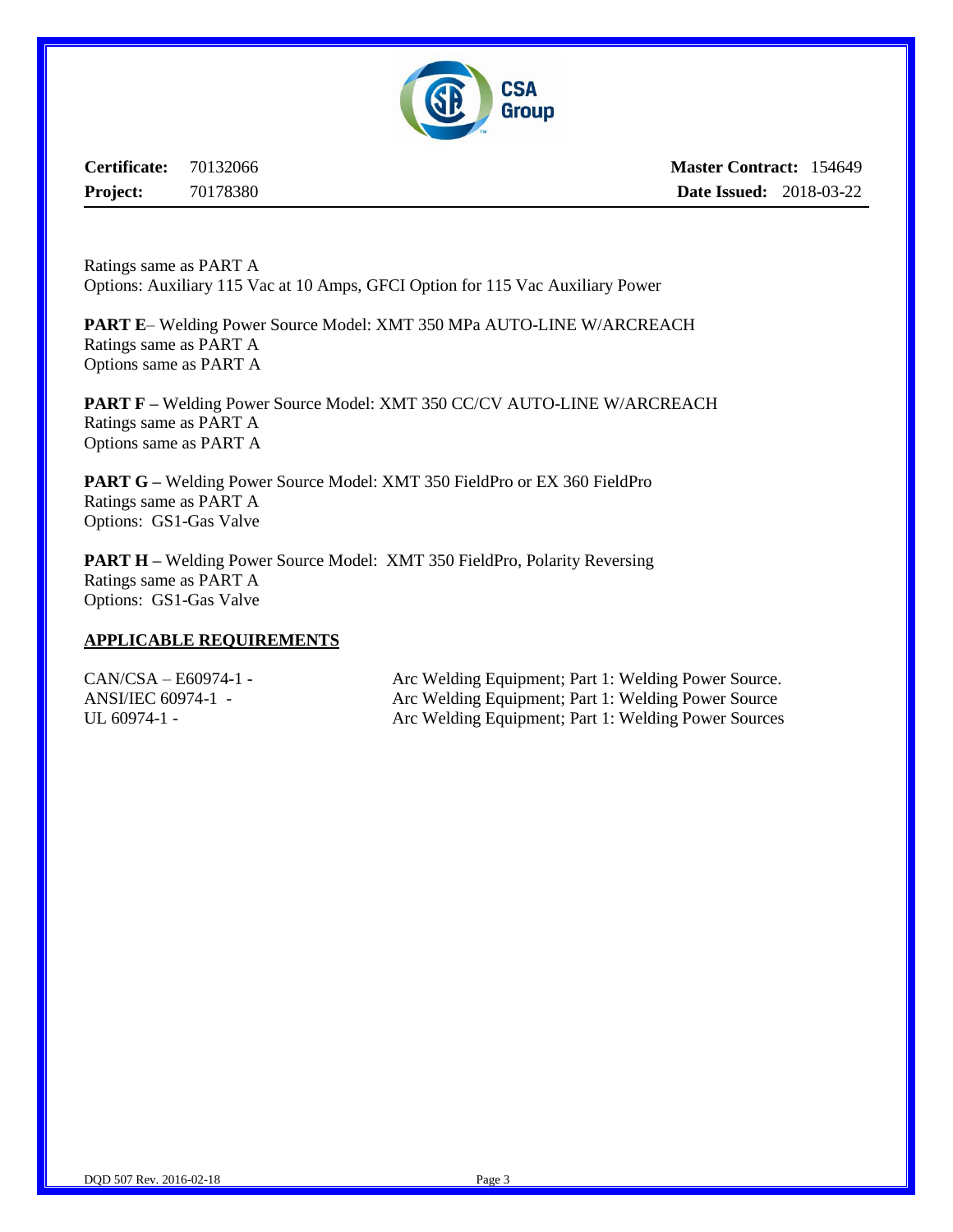

**Certificate:** 70132066 **Project:** 70178380

**Master Contract:** 154649 **Date Issued:** 2018-03-22

Ratings same as PART A Options: Auxiliary 115 Vac at 10 Amps, GFCI Option for 115 Vac Auxiliary Power

**PART E**– Welding Power Source Model: XMT 350 MPa AUTO-LINE W/ARCREACH Ratings same as PART A Options same as PART A

**PART F –** Welding Power Source Model: XMT 350 CC/CV AUTO-LINE W/ARCREACH Ratings same as PART A Options same as PART A

**PART G –** Welding Power Source Model: XMT 350 FieldPro or EX 360 FieldPro Ratings same as PART A Options: GS1-Gas Valve

**PART H** – Welding Power Source Model: XMT 350 FieldPro, Polarity Reversing Ratings same as PART A Options: GS1-Gas Valve

#### **APPLICABLE REQUIREMENTS**

CAN/CSA – E60974-1 - Arc Welding Equipment; Part 1: Welding Power Source. ANSI/IEC 60974-1 - Arc Welding Equipment; Part 1: Welding Power Source UL 60974-1 - Arc Welding Equipment; Part 1: Welding Power Sources